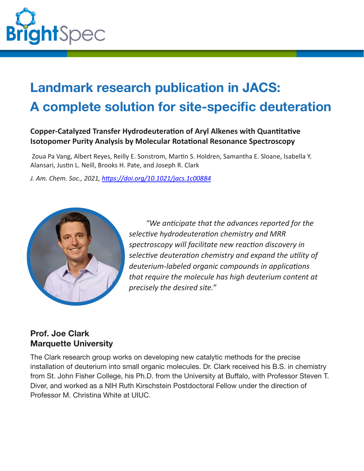

# **Landmark research publication in JACS: A complete solution for site-specific deuteration**

### **Copper-Catalyzed Transfer Hydrodeuteration of Aryl Alkenes with Quantitative Isotopomer Purity Analysis by Molecular Rotational Resonance Spectroscopy**

Zoua Pa Vang, Albert Reyes, Reilly E. Sonstrom, Martin S. Holdren, Samantha E. Sloane, Isabella Y. Alansari, Justin L. Neill, Brooks H. Pate, and Joseph R. Clark

*J. Am. Chem. Soc., 2021, [h�ps://doi.org/10.1021/jacs.1c00884](https://doi.org/10.1021/jacs.1c00884)*



*"We an�cipate that the advances reported for the selec�ve hydrodeutera�on chemistry and MRR spectroscopy will facilitate new reac�on discovery in selec�ve deutera�on chemistry and expand the u�lity of* deuterium-labeled organic compounds in applications *that require the molecule has high deuterium content at precisely the desired site."*

## **Prof. Joe Clark Marquette University**

The Clark research group works on developing new catalytic methods for the precise installation of deuterium into small organic molecules. Dr. Clark received his B.S. in chemistry from St. John Fisher College, his Ph.D. from the University at Buffalo, with Professor Steven T. Diver, and worked as a NIH Ruth Kirschstein Postdoctoral Fellow under the direction of Professor M. Christina White at UIUC.